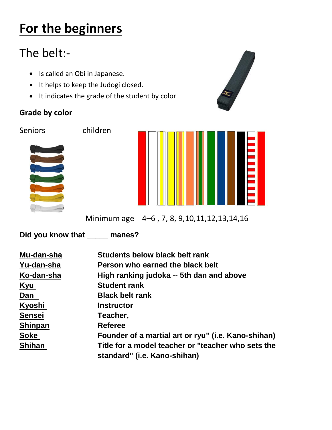# **For the beginners**

## The belt:-

- Is called an Obi in Japanese.
- It helps to keep the Judogi closed.
- It indicates the grade of the student by color

#### **Grade by color**

Seniors children





Minimum age 4–6 , 7, 8, 9,10,11,12,13,14,16

**Did you know that \_\_\_\_\_ manes?**

| Mu-dan-sha     | Students below black belt rank                      |
|----------------|-----------------------------------------------------|
| Yu-dan-sha     | Person who earned the black belt                    |
| Ko-dan-sha     | High ranking judoka -- 5th dan and above            |
| Kyu            | <b>Student rank</b>                                 |
| Dan            | <b>Black belt rank</b>                              |
| Kyoshi         | <b>Instructor</b>                                   |
| <b>Sensei</b>  | Teacher,                                            |
| <b>Shinpan</b> | <b>Referee</b>                                      |
| <b>Soke</b>    | Founder of a martial art or ryu" (i.e. Kano-shihan) |
| <b>Shihan</b>  | Title for a model teacher or "teacher who sets the  |
|                | standard" (i.e. Kano-shihan)                        |

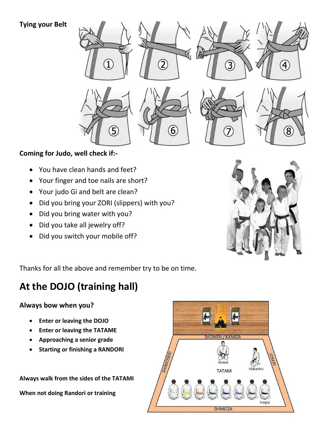#### **Tying your Belt**



#### **Coming for Judo, well check if:-**

- You have clean hands and feet?
- Your finger and toe nails are short?
- Your judo Gi and belt are clean?
- Did you bring your ZORI (slippers) with you?
- Did you bring water with you?
- Did you take all jewelry off?
- Did you switch your mobile off?



Thanks for all the above and remember try to be on time.

## **At the DOJO (training hall)**

#### **Always bow when you?**

- **Enter or leaving the DOJO**
- **Enter or leaving the TATAME**
- **Approaching a senior grade**
- **•** Starting or finishing a RANDORI

**Always walk from the sides of the TATAMI When not doing Randori or training** 

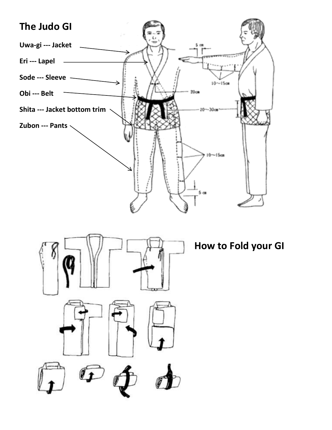